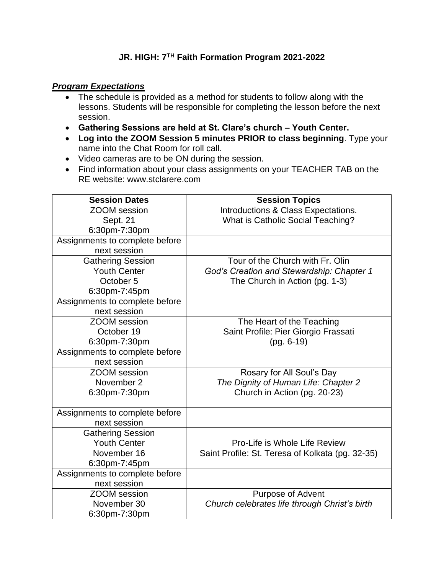## **JR. HIGH: 7TH Faith Formation Program 2021-2022**

## *Program Expectations*

- The schedule is provided as a method for students to follow along with the lessons. Students will be responsible for completing the lesson before the next session.
- **Gathering Sessions are held at St. Clare's church – Youth Center.**
- **Log into the ZOOM Session 5 minutes PRIOR to class beginning**. Type your name into the Chat Room for roll call.
- Video cameras are to be ON during the session.
- Find information about your class assignments on your TEACHER TAB on the RE website: www.stclarere.com

| <b>Session Dates</b>           | <b>Session Topics</b>                            |
|--------------------------------|--------------------------------------------------|
| ZOOM session                   | Introductions & Class Expectations.              |
| Sept. 21                       | What is Catholic Social Teaching?                |
| 6:30pm-7:30pm                  |                                                  |
| Assignments to complete before |                                                  |
| next session                   |                                                  |
| <b>Gathering Session</b>       | Tour of the Church with Fr. Olin                 |
| <b>Youth Center</b>            | God's Creation and Stewardship: Chapter 1        |
| October 5                      | The Church in Action (pg. 1-3)                   |
| 6:30pm-7:45pm                  |                                                  |
| Assignments to complete before |                                                  |
| next session                   |                                                  |
| ZOOM session                   | The Heart of the Teaching                        |
| October 19                     | Saint Profile: Pier Giorgio Frassati             |
| 6:30pm-7:30pm                  | $(pq. 6-19)$                                     |
| Assignments to complete before |                                                  |
| next session                   |                                                  |
| <b>ZOOM</b> session            | Rosary for All Soul's Day                        |
| November 2                     | The Dignity of Human Life: Chapter 2             |
| 6:30pm-7:30pm                  | Church in Action (pg. 20-23)                     |
|                                |                                                  |
| Assignments to complete before |                                                  |
| next session                   |                                                  |
| <b>Gathering Session</b>       |                                                  |
| <b>Youth Center</b>            | Pro-Life is Whole Life Review                    |
| November 16                    | Saint Profile: St. Teresa of Kolkata (pg. 32-35) |
| 6:30pm-7:45pm                  |                                                  |
| Assignments to complete before |                                                  |
| next session                   |                                                  |
| <b>ZOOM</b> session            | <b>Purpose of Advent</b>                         |
| November 30                    | Church celebrates life through Christ's birth    |
| 6:30pm-7:30pm                  |                                                  |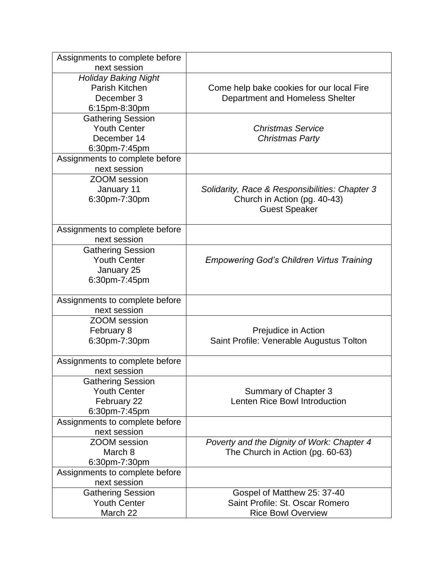| Assignments to complete before                  |                                                       |
|-------------------------------------------------|-------------------------------------------------------|
| next session                                    |                                                       |
| <b>Holiday Baking Night</b>                     |                                                       |
| Parish Kitchen                                  | Come help bake cookies for our local Fire             |
| December 3                                      | Department and Homeless Shelter                       |
| 6:15pm-8:30pm                                   |                                                       |
| <b>Gathering Session</b>                        |                                                       |
| <b>Youth Center</b>                             | <b>Christmas Service</b>                              |
| December 14                                     | <b>Christmas Party</b>                                |
| 6:30pm-7:45pm                                   |                                                       |
| Assignments to complete before                  |                                                       |
| next session                                    |                                                       |
| <b>ZOOM</b> session                             |                                                       |
| January 11                                      | Solidarity, Race & Responsibilities: Chapter 3        |
| 6:30pm-7:30pm                                   | Church in Action (pg. 40-43)                          |
|                                                 | <b>Guest Speaker</b>                                  |
|                                                 |                                                       |
| Assignments to complete before                  |                                                       |
| next session                                    |                                                       |
| <b>Gathering Session</b>                        |                                                       |
| <b>Youth Center</b>                             | <b>Empowering God's Children Virtus Training</b>      |
| January 25                                      |                                                       |
| 6:30pm-7:45pm                                   |                                                       |
|                                                 |                                                       |
| Assignments to complete before                  |                                                       |
| next session                                    |                                                       |
| <b>ZOOM</b> session                             |                                                       |
| February 8                                      | Prejudice in Action                                   |
| 6:30pm-7:30pm                                   | Saint Profile: Venerable Augustus Tolton              |
|                                                 |                                                       |
| Assignments to complete before<br>next session  |                                                       |
|                                                 |                                                       |
| <b>Gathering Session</b><br><b>Youth Center</b> |                                                       |
|                                                 | Summary of Chapter 3<br>Lenten Rice Bowl Introduction |
| February 22                                     |                                                       |
| 6:30pm-7:45pm                                   |                                                       |
| Assignments to complete before                  |                                                       |
| next session                                    |                                                       |
| <b>ZOOM</b> session                             | Poverty and the Dignity of Work: Chapter 4            |
| March 8                                         | The Church in Action (pg. 60-63)                      |
| 6:30pm-7:30pm                                   |                                                       |
| Assignments to complete before                  |                                                       |
| next session                                    |                                                       |
| <b>Gathering Session</b>                        | Gospel of Matthew 25: 37-40                           |
| <b>Youth Center</b>                             | Saint Profile: St. Oscar Romero                       |
| March 22                                        | <b>Rice Bowl Overview</b>                             |